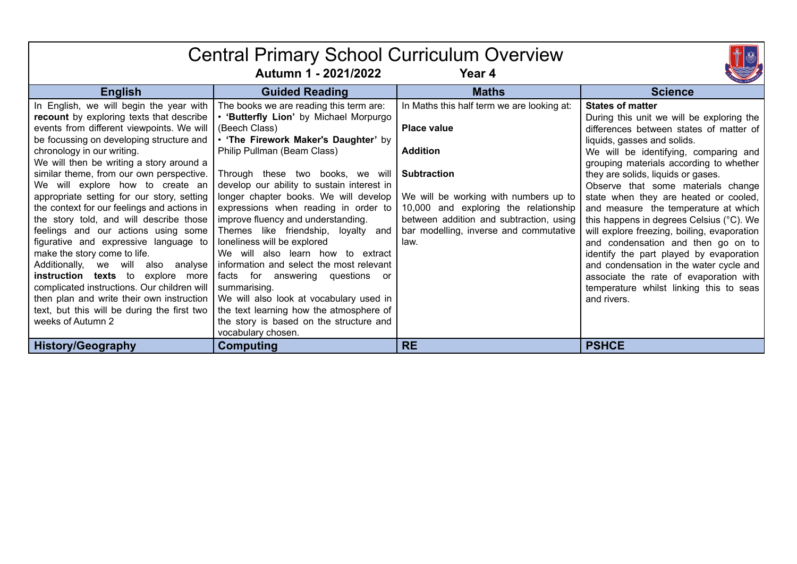| <b>Central Primary School Curriculum Overview</b><br>Autumn 1 - 2021/2022<br>Year 4                                                                                                                                                                                                                                                                                                                                                                                                                                                                                                                                                                                                                                                                                                                                  |                                                                                                                                                                                                                                                                                                                                                                                                                                                                                                                                                                                                                                                                                     |                                                                                                                                                                                                                                                                                          |                                                                                                                                                                                                                                                                                                                                                                                                                                                                                                                                                                                                                                                                                                                            |  |  |
|----------------------------------------------------------------------------------------------------------------------------------------------------------------------------------------------------------------------------------------------------------------------------------------------------------------------------------------------------------------------------------------------------------------------------------------------------------------------------------------------------------------------------------------------------------------------------------------------------------------------------------------------------------------------------------------------------------------------------------------------------------------------------------------------------------------------|-------------------------------------------------------------------------------------------------------------------------------------------------------------------------------------------------------------------------------------------------------------------------------------------------------------------------------------------------------------------------------------------------------------------------------------------------------------------------------------------------------------------------------------------------------------------------------------------------------------------------------------------------------------------------------------|------------------------------------------------------------------------------------------------------------------------------------------------------------------------------------------------------------------------------------------------------------------------------------------|----------------------------------------------------------------------------------------------------------------------------------------------------------------------------------------------------------------------------------------------------------------------------------------------------------------------------------------------------------------------------------------------------------------------------------------------------------------------------------------------------------------------------------------------------------------------------------------------------------------------------------------------------------------------------------------------------------------------------|--|--|
| <b>English</b>                                                                                                                                                                                                                                                                                                                                                                                                                                                                                                                                                                                                                                                                                                                                                                                                       | <b>Guided Reading</b>                                                                                                                                                                                                                                                                                                                                                                                                                                                                                                                                                                                                                                                               | <b>Maths</b>                                                                                                                                                                                                                                                                             | <b>Science</b>                                                                                                                                                                                                                                                                                                                                                                                                                                                                                                                                                                                                                                                                                                             |  |  |
| In English, we will begin the year with<br>recount by exploring texts that describe<br>events from different viewpoints. We will<br>be focussing on developing structure and<br>chronology in our writing.<br>We will then be writing a story around a<br>similar theme, from our own perspective.<br>We will explore how to create an<br>appropriate setting for our story, setting<br>the context for our feelings and actions in<br>the story told, and will describe those<br>feelings and our actions using some<br>figurative and expressive language to<br>make the story come to life.<br>Additionally, we will also analyse<br>instruction texts to explore more<br>complicated instructions. Our children will<br>then plan and write their own instruction<br>text, but this will be during the first two | The books we are reading this term are:<br>. 'Butterfly Lion' by Michael Morpurgo<br>(Beech Class)<br>. 'The Firework Maker's Daughter' by<br>Philip Pullman (Beam Class)<br>Through these two books, we will<br>develop our ability to sustain interest in<br>longer chapter books. We will develop<br>expressions when reading in order to<br>improve fluency and understanding.<br>Themes like friendship, loyalty and<br>loneliness will be explored<br>We will also learn how to extract<br>information and select the most relevant<br>facts for answering questions or<br>summarising.<br>We will also look at vocabulary used in<br>the text learning how the atmosphere of | In Maths this half term we are looking at:<br><b>Place value</b><br><b>Addition</b><br><b>Subtraction</b><br>We will be working with numbers up to<br>10,000 and exploring the relationship<br>between addition and subtraction, using<br>bar modelling, inverse and commutative<br>law. | <b>States of matter</b><br>During this unit we will be exploring the<br>differences between states of matter of<br>liquids, gasses and solids.<br>We will be identifying, comparing and<br>grouping materials according to whether<br>they are solids, liquids or gases.<br>Observe that some materials change<br>state when they are heated or cooled,<br>and measure the temperature at which<br>this happens in degrees Celsius (°C). We<br>will explore freezing, boiling, evaporation<br>and condensation and then go on to<br>identify the part played by evaporation<br>and condensation in the water cycle and<br>associate the rate of evaporation with<br>temperature whilst linking this to seas<br>and rivers. |  |  |
| weeks of Autumn 2                                                                                                                                                                                                                                                                                                                                                                                                                                                                                                                                                                                                                                                                                                                                                                                                    | the story is based on the structure and<br>vocabulary chosen.                                                                                                                                                                                                                                                                                                                                                                                                                                                                                                                                                                                                                       |                                                                                                                                                                                                                                                                                          |                                                                                                                                                                                                                                                                                                                                                                                                                                                                                                                                                                                                                                                                                                                            |  |  |
| <b>History/Geography</b>                                                                                                                                                                                                                                                                                                                                                                                                                                                                                                                                                                                                                                                                                                                                                                                             | Computing                                                                                                                                                                                                                                                                                                                                                                                                                                                                                                                                                                                                                                                                           | <b>RE</b>                                                                                                                                                                                                                                                                                | <b>PSHCE</b>                                                                                                                                                                                                                                                                                                                                                                                                                                                                                                                                                                                                                                                                                                               |  |  |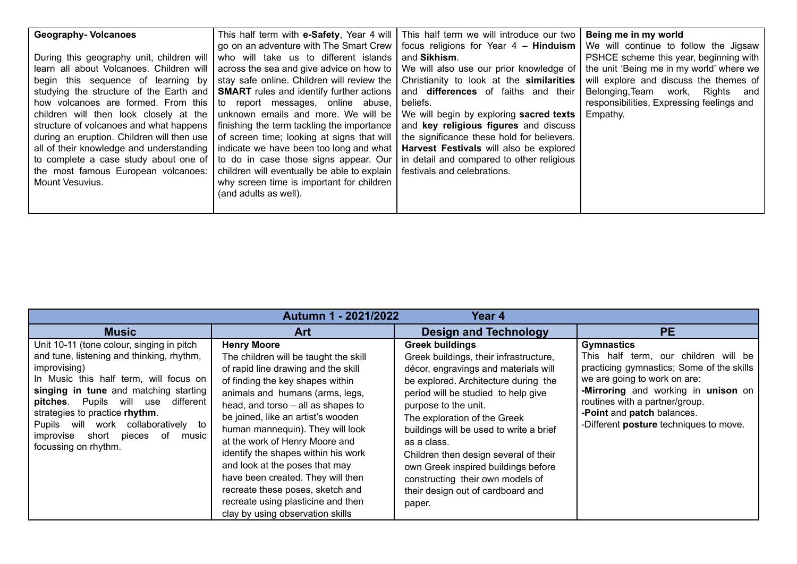| <b>Geography-Volcanoes</b><br>During this geography unit, children will<br>learn all about Volcanoes. Children will<br>begin this sequence of learning by<br>studying the structure of the Earth and<br>how volcanoes are formed. From this<br>children will then look closely at the<br>structure of volcanoes and what happens<br>during an eruption. Children will then use | go on an adventure with The Smart Crew<br>who will take us to different islands<br>across the sea and give advice on how to<br>stay safe online. Children will review the<br><b>SMART</b> rules and identify further actions<br>to report messages, online abuse,<br>unknown emails and more. We will be<br>finishing the term tackling the importance<br>of screen time; looking at signs that will | This half term with <b>e-Safety</b> , Year 4 will   This half term we will introduce our two<br>focus religions for Year $4$ – <b>Hinduism</b> We will continue to follow the Jigsaw<br>and Sikhism.<br>We will also use our prior knowledge of<br>Christianity to look at the similarities<br>and <b>differences</b> of faiths and their<br>beliefs.<br>We will begin by exploring sacred texts  <br>and key religious figures and discuss<br>the significance these hold for believers. | Being me in my world<br>PSHCE scheme this year, beginning with<br>the unit 'Being me in my world' where we<br>will explore and discuss the themes of<br>Belonging, Team work, Rights and<br>responsibilities, Expressing feelings and<br>Empathy. |
|--------------------------------------------------------------------------------------------------------------------------------------------------------------------------------------------------------------------------------------------------------------------------------------------------------------------------------------------------------------------------------|------------------------------------------------------------------------------------------------------------------------------------------------------------------------------------------------------------------------------------------------------------------------------------------------------------------------------------------------------------------------------------------------------|-------------------------------------------------------------------------------------------------------------------------------------------------------------------------------------------------------------------------------------------------------------------------------------------------------------------------------------------------------------------------------------------------------------------------------------------------------------------------------------------|---------------------------------------------------------------------------------------------------------------------------------------------------------------------------------------------------------------------------------------------------|
| all of their knowledge and understanding<br>to complete a case study about one of<br>the most famous European volcanoes:<br>Mount Vesuvius.                                                                                                                                                                                                                                    | indicate we have been too long and what<br>to do in case those signs appear. Our<br>children will eventually be able to explain<br>why screen time is important for children<br>(and adults as well).                                                                                                                                                                                                | Harvest Festivals will also be explored<br>in detail and compared to other religious<br>festivals and celebrations.                                                                                                                                                                                                                                                                                                                                                                       |                                                                                                                                                                                                                                                   |

| Autumn 1 - 2021/2022<br>Year <sub>4</sub>                                                                                                                                                                                                                                                                                                                                 |                                                                                                                                                                                                                                                                                                                                                                                                                                                                                                                                                         |                                                                                                                                                                                                                                                                                                                                                                                                                                                                              |                                                                                                                                                                                                                                                                                         |  |
|---------------------------------------------------------------------------------------------------------------------------------------------------------------------------------------------------------------------------------------------------------------------------------------------------------------------------------------------------------------------------|---------------------------------------------------------------------------------------------------------------------------------------------------------------------------------------------------------------------------------------------------------------------------------------------------------------------------------------------------------------------------------------------------------------------------------------------------------------------------------------------------------------------------------------------------------|------------------------------------------------------------------------------------------------------------------------------------------------------------------------------------------------------------------------------------------------------------------------------------------------------------------------------------------------------------------------------------------------------------------------------------------------------------------------------|-----------------------------------------------------------------------------------------------------------------------------------------------------------------------------------------------------------------------------------------------------------------------------------------|--|
| <b>Music</b>                                                                                                                                                                                                                                                                                                                                                              | <b>Art</b>                                                                                                                                                                                                                                                                                                                                                                                                                                                                                                                                              | <b>Design and Technology</b>                                                                                                                                                                                                                                                                                                                                                                                                                                                 | <b>PE</b>                                                                                                                                                                                                                                                                               |  |
| Unit 10-11 (tone colour, singing in pitch<br>and tune, listening and thinking, rhythm,<br>improvising)<br>In Music this half term, will focus on<br>singing in tune and matching starting<br>pitches. Pupils will use different<br>strategies to practice rhythm.<br>Pupils will work collaboratively<br>to<br>improvise short pieces of<br>music<br>focussing on rhythm. | <b>Henry Moore</b><br>The children will be taught the skill<br>of rapid line drawing and the skill<br>of finding the key shapes within<br>animals and humans (arms, legs,<br>head, and torso - all as shapes to<br>be joined, like an artist's wooden<br>human mannequin). They will look<br>at the work of Henry Moore and<br>identify the shapes within his work<br>and look at the poses that may<br>have been created. They will then<br>recreate these poses, sketch and<br>recreate using plasticine and then<br>clay by using observation skills | <b>Greek buildings</b><br>Greek buildings, their infrastructure,<br>décor, engravings and materials will<br>be explored. Architecture during the<br>period will be studied to help give<br>purpose to the unit.<br>The exploration of the Greek<br>buildings will be used to write a brief<br>as a class.<br>Children then design several of their<br>own Greek inspired buildings before<br>constructing their own models of<br>their design out of cardboard and<br>paper. | <b>Gymnastics</b><br>This half term, our children will be<br>practicing gymnastics; Some of the skills<br>we are going to work on are:<br>-Mirroring and working in unison on<br>routines with a partner/group.<br>-Point and patch balances.<br>-Different posture techniques to move. |  |